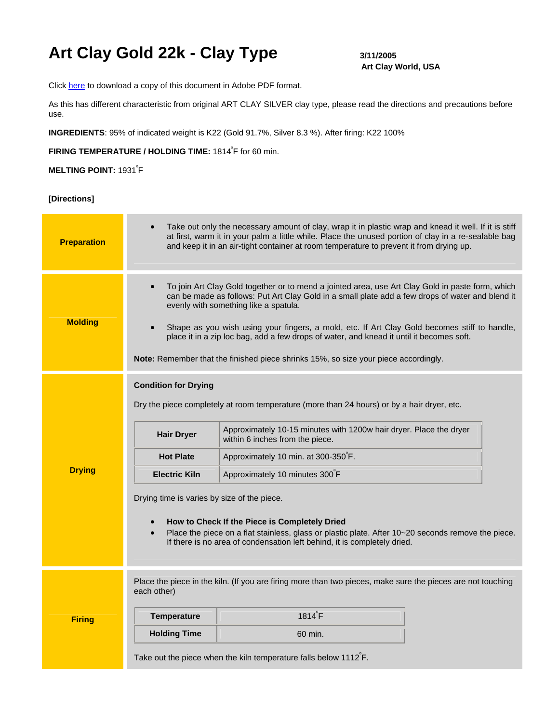## Art Clay Gold 22k - Clay Type  $3/11/2005$

# **Art Clay World, USA**

Click [here](http://artclayusa.com/pdf/instructions_pdf/ACG_22k.pdf) to download a copy of this document in Adobe PDF format.

As this has different characteristic from original ART CLAY SILVER clay type, please read the directions and precautions before use.

**INGREDIENTS**: 95% of indicated weight is K22 (Gold 91.7%, Silver 8.3 %). After firing: K22 100%

FIRING TEMPERATURE / HOLDING TIME: 1814<sup>°</sup>F for 60 min.

### **MELTING POINT: 1931<sup>°</sup>F**

**[Directions]**

| <b>Preparation</b> | Take out only the necessary amount of clay, wrap it in plastic wrap and knead it well. If it is stiff<br>at first, warm it in your palm a little while. Place the unused portion of clay in a re-sealable bag<br>and keep it in an air-tight container at room temperature to prevent it from drying up.                                                                                                                                                                                                                         |                                                                                                                                                                                                                                                                                                                                                                                                                                                                                                                 |
|--------------------|----------------------------------------------------------------------------------------------------------------------------------------------------------------------------------------------------------------------------------------------------------------------------------------------------------------------------------------------------------------------------------------------------------------------------------------------------------------------------------------------------------------------------------|-----------------------------------------------------------------------------------------------------------------------------------------------------------------------------------------------------------------------------------------------------------------------------------------------------------------------------------------------------------------------------------------------------------------------------------------------------------------------------------------------------------------|
| <b>Molding</b>     | To join Art Clay Gold together or to mend a jointed area, use Art Clay Gold in paste form, which<br>can be made as follows: Put Art Clay Gold in a small plate add a few drops of water and blend it<br>evenly with something like a spatula.<br>Shape as you wish using your fingers, a mold, etc. If Art Clay Gold becomes stiff to handle,<br>place it in a zip loc bag, add a few drops of water, and knead it until it becomes soft.<br>Note: Remember that the finished piece shrinks 15%, so size your piece accordingly. |                                                                                                                                                                                                                                                                                                                                                                                                                                                                                                                 |
| <b>Drying</b>      | <b>Condition for Drying</b><br><b>Hair Dryer</b><br><b>Hot Plate</b><br><b>Electric Kiln</b><br>Drying time is varies by size of the piece.                                                                                                                                                                                                                                                                                                                                                                                      | Dry the piece completely at room temperature (more than 24 hours) or by a hair dryer, etc.<br>Approximately 10-15 minutes with 1200w hair dryer. Place the dryer<br>within 6 inches from the piece.<br>Approximately 10 min. at 300-350 F.<br>Approximately 10 minutes 300°F<br>How to Check If the Piece is Completely Dried<br>Place the piece on a flat stainless, glass or plastic plate. After 10~20 seconds remove the piece.<br>If there is no area of condensation left behind, it is completely dried. |
| <b>Firing</b>      | each other)<br><b>Temperature</b><br><b>Holding Time</b>                                                                                                                                                                                                                                                                                                                                                                                                                                                                         | Place the piece in the kiln. (If you are firing more than two pieces, make sure the pieces are not touching<br>$1814^{\circ}F$<br>60 min.<br>Take out the piece when the kiln temperature falls below $1112^{\circ}$ F.                                                                                                                                                                                                                                                                                         |